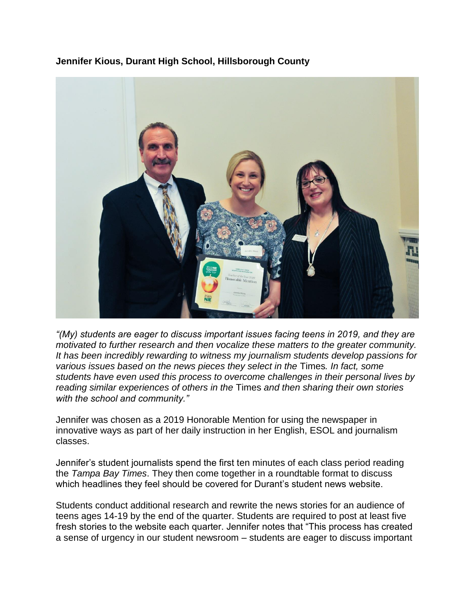**Jennifer Kious, Durant High School, Hillsborough County**



*"(My) students are eager to discuss important issues facing teens in 2019, and they are motivated to further research and then vocalize these matters to the greater community. It has been incredibly rewarding to witness my journalism students develop passions for various issues based on the news pieces they select in the* Times*. In fact, some students have even used this process to overcome challenges in their personal lives by reading similar experiences of others in the* Times *and then sharing their own stories with the school and community."*

Jennifer was chosen as a 2019 Honorable Mention for using the newspaper in innovative ways as part of her daily instruction in her English, ESOL and journalism classes.

Jennifer's student journalists spend the first ten minutes of each class period reading the *Tampa Bay Times*. They then come together in a roundtable format to discuss which headlines they feel should be covered for Durant's student news website.

Students conduct additional research and rewrite the news stories for an audience of teens ages 14-19 by the end of the quarter. Students are required to post at least five fresh stories to the website each quarter. Jennifer notes that "This process has created a sense of urgency in our student newsroom – students are eager to discuss important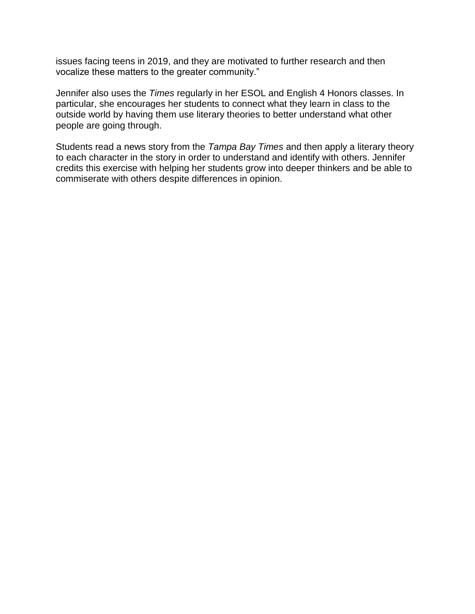issues facing teens in 2019, and they are motivated to further research and then vocalize these matters to the greater community."

Jennifer also uses the *Times* regularly in her ESOL and English 4 Honors classes. In particular, she encourages her students to connect what they learn in class to the outside world by having them use literary theories to better understand what other people are going through.

Students read a news story from the *Tampa Bay Times* and then apply a literary theory to each character in the story in order to understand and identify with others. Jennifer credits this exercise with helping her students grow into deeper thinkers and be able to commiserate with others despite differences in opinion.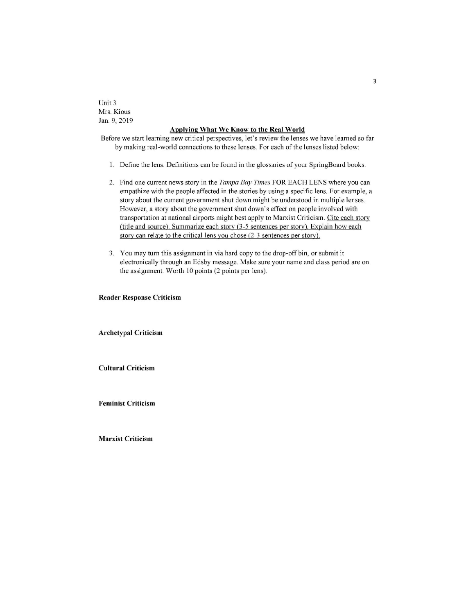Unit 3 Mrs. Kious Jan. 9, 2019

## **Applying What We Know to the Real World**

Before we start learning new critical perspectives, let's review the lenses we have learned so far by making real-world connections to these lenses. For each of the lenses listed below:

- 1. Define the lens. Definitions can be found in the glossaries of your SpringBoard books.
- 2. Find one current news story in the *Tampa Bay Times* FOR EACH LENS where you can empathize with the people affected in the stories by using a specific lens. For example, a story about the current government shut down might be understood in multiple lenses. However, a story about the government shut down's effect on people involved with transportation at national airports might best apply to Marxist Criticism. Cite each story (title and source). Summarize each story (3-5 sentences per story). Explain how each story can relate to the critical lens you chose (2-3 sentences per story).
- 3. You may turn this assignment in via hard copy to the drop-off bin, or submit it electronically through an Edsby message. Make sure your name and class period are on the assignment. Worth 10 points (2 points per lens).

## **Reader Response Criticism**

**Archetypal Criticism** 

**Cultural Criticism** 

**Feminist Criticism** 

**Marxist Criticism**